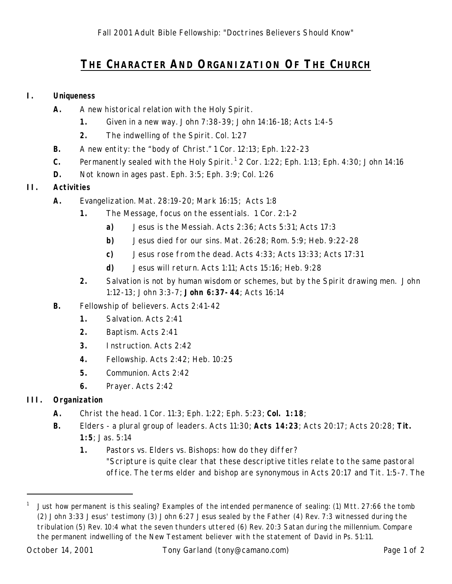# **THE CHARACTER AND ORGANIZATION OF THE CHURCH**

### **I. Uniqueness**

- **A.** A new historical relation with the Holy Spirit.
	- **1.** Given in a new way. John 7:38-39; John 14:16-18; Acts 1:4-5
	- **2.** The indwelling of the Spirit. Col. 1:27
- **B.** A new entity: the "body of Christ." 1 Cor. 12:13; Eph. 1:22-23
- **C.** Permanently sealed with the Holy Spirit.<sup>1</sup> 2 Cor. 1:22; Eph. 1:13; Eph. 4:30; John 14:16
- **D.** Not known in ages past. Eph. 3:5; Eph. 3:9; Col. 1:26

## **II. Activities**

- **A.** Evangelization. Mat. 28:19-20; Mark 16:15; Acts 1:8
	- **1.** The Message, focus on the essentials. 1 Cor. 2:1-2
		- **a)** Jesus is the Messiah. Acts 2:36; Acts 5:31; Acts 17:3
		- **b)** Jesus died for our sins. Mat. 26:28; Rom. 5:9; Heb. 9:22-28
		- **c)** Jesus rose from the dead. Acts 4:33; Acts 13:33; Acts 17:31
		- **d)** Jesus will return. Acts 1:11; Acts 15:16; Heb. 9:28
	- **2.** Salvation is not by human wisdom or schemes, but by the Spirit drawing men. John 1:12-13; John 3:3-7; **John 6:37-44**; Acts 16:14
- **B.** Fellowship of believers. Acts 2:41-42
	- **1.** Salvation. Acts 2:41
	- **2.** Baptism. Acts 2:41
	- **3.** Instruction. Acts 2:42
	- **4.** Fellowship. Acts 2:42; Heb. 10:25
	- **5.** Communion. Acts 2:42
	- **6.** Prayer. Acts 2:42

# **III. Organization**

- **A.** Christ the head. 1 Cor. 11:3; Eph. 1:22; Eph. 5:23; **Col. 1:18**;
- **B.** Elders a plural group of leaders. Acts 11:30; **Acts 14:23**; Acts 20:17; Acts 20:28; **Tit. 1:5**; Jas. 5:14
	- **1.** Pastors vs. Elders vs. Bishops: how do they differ? "Scripture is quite clear that these descriptive titles relate to the same pastoral office. The terms elder and bishop are synonymous in Acts 20:17 and Tit. 1:5-7. The

-

<sup>1</sup> Just how permanent is this sealing? Examples of the intended permanence of sealing: (1) Mtt. 27:66 the tomb (2) John 3:33 Jesus' testimony (3) John 6:27 Jesus sealed by the Father (4) Rev. 7:3 witnessed during the tribulation (5) Rev. 10:4 what the seven thunders uttered (6) Rev. 20:3 Satan during the millennium. Compare the permanent indwelling of the New Testament believer with the statement of David in Ps. 51:11.